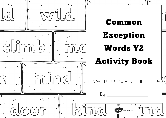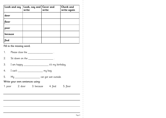| Look and say              | Look, say and   Cover and<br>write | write | <b>Check and</b><br>write again |  |  |
|---------------------------|------------------------------------|-------|---------------------------------|--|--|
| door                      |                                    |       |                                 |  |  |
| floor                     |                                    |       |                                 |  |  |
| poor                      |                                    |       |                                 |  |  |
| because                   |                                    |       |                                 |  |  |
| find                      |                                    |       |                                 |  |  |
| Fill in the missing word. |                                    |       |                                 |  |  |

1. Please close the <u>\_\_\_\_\_\_\_\_\_\_\_\_\_\_\_\_\_\_\_\_</u>.

2. Sit down on the \_\_\_\_\_\_\_\_\_\_\_\_\_\_\_\_\_\_\_\_\_\_\_\_.

3. I am happy \_\_\_\_\_\_\_\_\_\_\_\_\_\_\_\_\_\_\_ it's my birthday.

4. I can't \_\_\_\_\_\_\_\_\_\_\_\_\_\_\_\_\_\_\_\_\_\_\_\_\_\_ my bag.

5. My \_\_\_\_\_\_\_\_\_\_\_\_\_\_\_\_\_\_\_\_\_\_\_ cat got wet outside.

Write your own sentences using:

1. poor 2. door 3. because 4. find 5. floor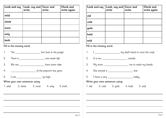| Look and say | Look, say and $ $ Cover and<br>write | write | Check and<br>write again |
|--------------|--------------------------------------|-------|--------------------------|
| wild         |                                      |       |                          |
| climb        |                                      |       |                          |
| most         |                                      |       |                          |
| only         |                                      |       |                          |
| both         |                                      |       |                          |

| 1.                              | The _________________________                          |  | lion lives in the jungle. |  |  |  |
|---------------------------------|--------------------------------------------------------|--|---------------------------|--|--|--|
| 2.                              | There is _____________________________ one sweet left. |  |                           |  |  |  |
| 3.                              | We can _____________________                           |  | have some cake.           |  |  |  |
| 4.                              |                                                        |  |                           |  |  |  |
| 5.                              | I can __________________________________ up high.      |  |                           |  |  |  |
| Write your own sentences using: |                                                        |  |                           |  |  |  |
|                                 | 1. wild 2. climb 3. most 4. only 5. both               |  |                           |  |  |  |

|      |                           | Look and say $ $ Look, say and $ $ Cover and<br>write       | write | <b>Check and</b><br>write again |  |
|------|---------------------------|-------------------------------------------------------------|-------|---------------------------------|--|
| old  |                           |                                                             |       |                                 |  |
| cold |                           |                                                             |       |                                 |  |
| gold |                           |                                                             |       |                                 |  |
| hold |                           |                                                             |       |                                 |  |
| told |                           |                                                             |       |                                 |  |
|      | Fill in the missing word. |                                                             |       |                                 |  |
| 1.   |                           | I ________________________ my dad's hand to cross the road. |       |                                 |  |
|      |                           | 2. It is too __________________________ outside.            |       |                                 |  |
|      |                           | 3. My mum __________________ me to wash my hands.           |       |                                 |  |
|      |                           | 4. She earned a                                             |       |                                 |  |
|      |                           | 5. I have a very ___________________ teddy.                 |       |                                 |  |
|      |                           | Write your own sentences using:                             |       |                                 |  |
|      |                           | 1. old 2. cold 3. gold 4. hold 5. told                      |       |                                 |  |

H.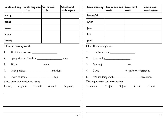| Look and say | Look, say and   Cover and<br>write | write | Check and<br>write again |
|--------------|------------------------------------|-------|--------------------------|
| every        |                                    |       |                          |
| great        |                                    |       |                          |
| break        |                                    |       |                          |
| steak        |                                    |       |                          |
| pretty       |                                    |       |                          |

- 1. The kittens are very \_\_\_\_\_\_\_\_\_\_\_\_\_\_\_\_\_\_\_\_\_\_\_\_\_.
- 2. I play with my friends at \_\_\_\_\_\_\_\_\_\_\_\_\_\_\_\_\_\_\_\_\_\_\_\_\_\_ time.
- 3. This is \_\_\_\_\_\_\_\_\_\_\_\_\_\_\_\_\_\_\_\_\_\_\_\_\_ work!
- 4. I enjoy eating \_\_\_\_\_\_\_\_\_\_\_\_\_\_\_\_\_\_\_ and chips.
- 5. I walk to school \_\_\_\_\_\_\_\_\_\_\_\_\_\_\_\_\_\_\_\_\_\_ day.

Write your own sentences using:

1. every 2. great 3. break 4. steak 5. pretty

| Look and say | Look, say and   Cover and<br>write | write | Check and<br>write again |
|--------------|------------------------------------|-------|--------------------------|
| beautiful    |                                    |       |                          |
| after        |                                    |       |                          |
| fast         |                                    |       |                          |
| last         |                                    |       |                          |
| past         |                                    |       |                          |

## Fill in the missing word.

- 1. The flowers are \_\_\_\_\_\_\_\_\_\_\_\_\_\_\_\_\_\_\_\_\_\_\_.
- 2. I ran really \_\_\_\_\_\_\_\_\_\_\_\_\_\_\_\_\_\_\_\_\_\_\_\_\_.
- 3. It is half six.
- 4. I was \_\_\_\_\_\_\_\_\_\_\_\_\_\_\_\_\_\_\_ to get to the classroom.
- 5. We are doing maths \_\_\_\_\_\_\_\_\_\_\_\_\_\_\_\_\_\_\_ breaktime.

Write your own sentences using:

1. beautiful 2. after 3. fast 4. last 5. past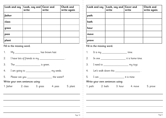| Look and say | Look, say and Cover and<br>write | write | Check and<br>write again |
|--------------|----------------------------------|-------|--------------------------|
| father       |                                  |       |                          |
| class        |                                  |       |                          |
| grass        |                                  |       |                          |
| pass         |                                  |       |                          |
| plant        |                                  |       |                          |

|    |                                                           | has brown hair. |  |
|----|-----------------------------------------------------------|-----------------|--|
|    | 2. I have lots of friends in my ________________________. |                 |  |
| 3. | The _________________________________ is green.           |                 |  |
|    |                                                           |                 |  |
|    | 5. Please can you __________________________ the water?   |                 |  |
|    | Write your own sentences using:                           |                 |  |
|    | 1. father 2. class 3. grass 4. pass 5. plant              |                 |  |

| Look and say | Look, say and   Cover and<br>write | write | Check and<br>write again |
|--------------|------------------------------------|-------|--------------------------|
| path         |                                    |       |                          |
| bath         |                                    |       |                          |
| hour         |                                    |       |                          |
| move         |                                    |       |                          |
| prove        |                                    |       |                          |

## Fill in the missing word.

1. It is my \_\_\_\_\_\_\_\_\_\_\_\_\_\_\_\_\_\_\_\_\_\_\_\_\_\_time. 2. In one \_\_\_\_\_\_\_\_\_\_\_\_\_\_\_\_\_\_\_ it is home time. 3. I need to \_\_\_\_\_\_\_\_\_\_\_\_\_\_\_\_\_\_\_\_\_\_\_\_\_\_\_\_ my toys. 4. Let's walk down this \_\_\_\_\_\_\_\_\_\_\_\_\_\_\_\_\_\_\_\_\_\_\_\_\_\_. 5. I can \_\_\_\_\_\_\_\_\_\_\_\_\_\_\_\_\_\_\_ it is mine.

Write your own sentences using:

1. path 2. bath 3. hour 4. move 5. prove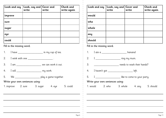| Look and say | Look, say and   Cover and<br>write | write | Check and<br>write again |
|--------------|------------------------------------|-------|--------------------------|
| improve      |                                    |       |                          |
| sure         |                                    |       |                          |
| sugar        |                                    |       |                          |
| eye          |                                    |       |                          |
| could        |                                    |       |                          |

|                                 | 1. I have ________________________ in my cup of tea. |  |                                                              |  |  |
|---------------------------------|------------------------------------------------------|--|--------------------------------------------------------------|--|--|
|                                 |                                                      |  | 2. I wink with one ______________________.                   |  |  |
|                                 |                                                      |  | 3. I am ________________________________ we can work it out. |  |  |
|                                 |                                                      |  | 4. I will <u>_________________________</u> my work.          |  |  |
|                                 |                                                      |  |                                                              |  |  |
| Write your own sentences using: |                                                      |  |                                                              |  |  |
|                                 |                                                      |  | 1. improve 2. sure 3. sugar 4. eye 5. could                  |  |  |

| Look and say                                                                                                                                                                                                                         | Look, say and   Cover and<br>write | write | <b>Check and</b><br>write again |
|--------------------------------------------------------------------------------------------------------------------------------------------------------------------------------------------------------------------------------------|------------------------------------|-------|---------------------------------|
| would                                                                                                                                                                                                                                |                                    |       |                                 |
| who                                                                                                                                                                                                                                  |                                    |       |                                 |
| whole                                                                                                                                                                                                                                |                                    |       |                                 |
| any                                                                                                                                                                                                                                  |                                    |       |                                 |
| should                                                                                                                                                                                                                               |                                    |       |                                 |
| <b>The contract of the contract of the contract of the contract of the contract of the contract of the contract of the contract of the contract of the contract of the contract of the contract of the contract of the contract </b> |                                    |       |                                 |

## Fill in the missing word.

- 1. I ate a contract a labor banana!
- 2. I \_\_\_\_\_\_\_\_\_\_\_\_\_\_\_\_\_\_\_\_\_\_ ring my mum.
- 3. **3.** The meeds to wash their hands?
- 4. I haven't got \_\_\_\_\_\_\_\_\_\_\_\_\_\_\_\_\_\_\_ left.
- 5. I \_\_\_\_\_\_\_\_\_\_\_\_\_\_\_\_\_\_\_\_\_ like to come to your party.

## Write your own sentences using:

1. would 2. who 3. whole 4. any 5. should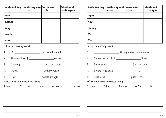| Look and say | Look, say and   Cover and<br>write | write | Check and<br>write again |
|--------------|------------------------------------|-------|--------------------------|
| many         |                                    |       |                          |
| clothes      |                                    |       |                          |
| busy         |                                    |       |                          |
| people       |                                    |       |                          |
| water        |                                    |       |                          |

|    | 1. My _______________________got covered in mud!          |                                               |  |
|----|-----------------------------------------------------------|-----------------------------------------------|--|
| 2. | There are lots of ________________________ on the bus.    |                                               |  |
|    | 3. It is very __________________ in town today.           |                                               |  |
|    | 4. I drink ____________________________ with my lunch.    |                                               |  |
|    | 5. How _________________________________ sweets are left? |                                               |  |
|    | Write your own sentences using:                           |                                               |  |
|    |                                                           | 1. many 2. clothes 3. busy 4. people 5. water |  |
|    |                                                           |                                               |  |
|    |                                                           |                                               |  |

|            |                           | Look and say   Look, say and   Cover and<br>write           | write | Check and<br>write again |
|------------|---------------------------|-------------------------------------------------------------|-------|--------------------------|
| again      |                           |                                                             |       |                          |
| half       |                           |                                                             |       |                          |
| money      |                           |                                                             |       |                          |
| Mr         |                           |                                                             |       |                          |
| <b>Mrs</b> |                           |                                                             |       |                          |
|            | Fill in the missing word. |                                                             |       |                          |
| 1.         |                           |                                                             |       |                          |
|            |                           | 2. My teacher is called ____________________________ Smith. |       |                          |
|            |                           |                                                             |       |                          |
|            |                           | 4. I want to go back ____________________.                  |       |                          |
|            |                           | 5. Bedtime is ________________________ past seven.          |       |                          |
|            |                           | Write your own sentences using:                             |       |                          |
|            |                           | 1. again 2. half 3. money 4. Mr 5. Mrs                      |       |                          |